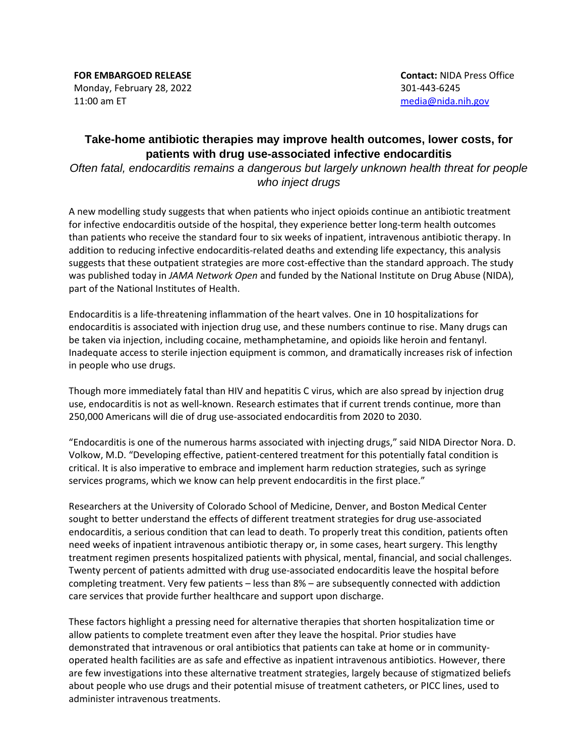**FOR EMBARGOED RELEASE** Monday, February 28, 2022 11:00 am ET

**Contact:** NIDA Press Office 301-443-6245 [media@nida.nih.gov](mailto:media@nida.nih.gov)

## **Take-home antibiotic therapies may improve health outcomes, lower costs, for patients with drug use-associated infective endocarditis**

*Often fatal, endocarditis remains a dangerous but largely unknown health threat for people who inject drugs*

A new modelling study suggests that when patients who inject opioids continue an antibiotic treatment for infective endocarditis outside of the hospital, they experience better long-term health outcomes than patients who receive the standard four to six weeks of inpatient, intravenous antibiotic therapy. In addition to reducing infective endocarditis-related deaths and extending life expectancy, this analysis suggests that these outpatient strategies are more cost-effective than the standard approach. The study was published today in *JAMA Network Open* and funded by the National Institute on Drug Abuse (NIDA), part of the National Institutes of Health.

Endocarditis is a life-threatening inflammation of the heart valves. One in 10 hospitalizations for endocarditis is associated with injection drug use, and these numbers continue to rise. Many drugs can be taken via injection, including cocaine, methamphetamine, and opioids like heroin and fentanyl. Inadequate access to sterile injection equipment is common, and dramatically increases risk of infection in people who use drugs.

Though more immediately fatal than HIV and hepatitis C virus, which are also spread by injection drug use, endocarditis is not as well-known. Research estimates that if current trends continue, more than 250,000 Americans will die of drug use-associated endocarditis from 2020 to 2030.

"Endocarditis is one of the numerous harms associated with injecting drugs," said NIDA Director Nora. D. Volkow, M.D. "Developing effective, patient-centered treatment for this potentially fatal condition is critical. It is also imperative to embrace and implement harm reduction strategies, such as syringe services programs, which we know can help prevent endocarditis in the first place."

Researchers at the University of Colorado School of Medicine, Denver, and Boston Medical Center sought to better understand the effects of different treatment strategies for drug use-associated endocarditis, a serious condition that can lead to death. To properly treat this condition, patients often need weeks of inpatient intravenous antibiotic therapy or, in some cases, heart surgery. This lengthy treatment regimen presents hospitalized patients with physical, mental, financial, and social challenges. Twenty percent of patients admitted with drug use-associated endocarditis leave the hospital before completing treatment. Very few patients – less than 8% – are subsequently connected with addiction care services that provide further healthcare and support upon discharge.

These factors highlight a pressing need for alternative therapies that shorten hospitalization time or allow patients to complete treatment even after they leave the hospital. Prior studies have demonstrated that intravenous or oral antibiotics that patients can take at home or in communityoperated health facilities are as safe and effective as inpatient intravenous antibiotics. However, there are few investigations into these alternative treatment strategies, largely because of stigmatized beliefs about people who use drugs and their potential misuse of treatment catheters, or PICC lines, used to administer intravenous treatments.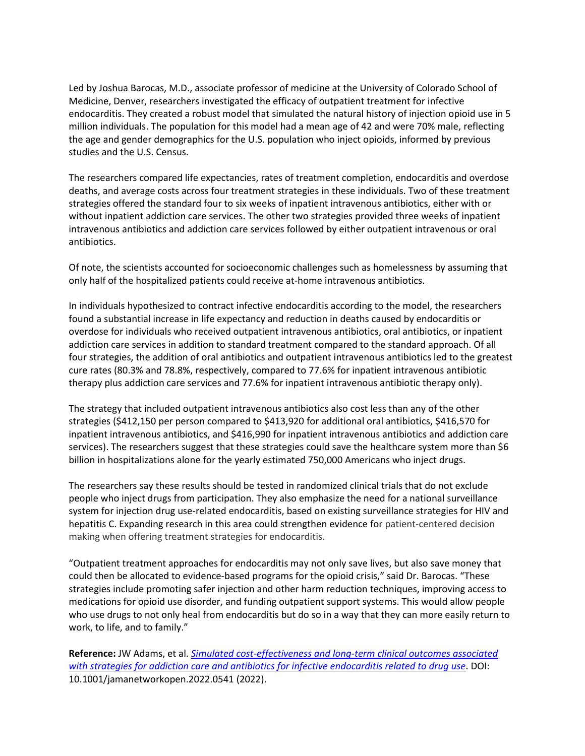Led by Joshua Barocas, M.D., associate professor of medicine at the University of Colorado School of Medicine, Denver, researchers investigated the efficacy of outpatient treatment for infective endocarditis. They created a robust model that simulated the natural history of injection opioid use in 5 million individuals. The population for this model had a mean age of 42 and were 70% male, reflecting the age and gender demographics for the U.S. population who inject opioids, informed by previous studies and the U.S. Census.

The researchers compared life expectancies, rates of treatment completion, endocarditis and overdose deaths, and average costs across four treatment strategies in these individuals. Two of these treatment strategies offered the standard four to six weeks of inpatient intravenous antibiotics, either with or without inpatient addiction care services. The other two strategies provided three weeks of inpatient intravenous antibiotics and addiction care services followed by either outpatient intravenous or oral antibiotics.

Of note, the scientists accounted for socioeconomic challenges such as homelessness by assuming that only half of the hospitalized patients could receive at-home intravenous antibiotics.

In individuals hypothesized to contract infective endocarditis according to the model, the researchers found a substantial increase in life expectancy and reduction in deaths caused by endocarditis or overdose for individuals who received outpatient intravenous antibiotics, oral antibiotics, or inpatient addiction care services in addition to standard treatment compared to the standard approach. Of all four strategies, the addition of oral antibiotics and outpatient intravenous antibiotics led to the greatest cure rates (80.3% and 78.8%, respectively, compared to 77.6% for inpatient intravenous antibiotic therapy plus addiction care services and 77.6% for inpatient intravenous antibiotic therapy only).

The strategy that included outpatient intravenous antibiotics also cost less than any of the other strategies (\$412,150 per person compared to \$413,920 for additional oral antibiotics, \$416,570 for inpatient intravenous antibiotics, and \$416,990 for inpatient intravenous antibiotics and addiction care services). The researchers suggest that these strategies could save the healthcare system more than \$6 billion in hospitalizations alone for the yearly estimated 750,000 Americans who inject drugs.

The researchers say these results should be tested in randomized clinical trials that do not exclude people who inject drugs from participation. They also emphasize the need for a national surveillance system for injection drug use-related endocarditis, based on existing surveillance strategies for HIV and hepatitis C. Expanding research in this area could strengthen evidence for patient-centered decision making when offering treatment strategies for endocarditis.

"Outpatient treatment approaches for endocarditis may not only save lives, but also save money that could then be allocated to evidence-based programs for the opioid crisis," said Dr. Barocas. "These strategies include promoting safer injection and other harm reduction techniques, improving access to medications for opioid use disorder, and funding outpatient support systems. This would allow people who use drugs to not only heal from endocarditis but do so in a way that they can more easily return to work, to life, and to family."

**Reference:** JW Adams, et al. *[Simulated cost-effectiveness and long-term clinical outcomes associated](http://jamanetwork.com/journals/jamanetworkopen/fullarticle/10.1001/jamanetworkopen.2022.0541?utm_source=For_The_Media&utm_medium=referral&utm_campaign=ftm_links&utm_term=022822)  [with strategies for addiction care and antibiotics for infective endocarditis related to drug use](http://jamanetwork.com/journals/jamanetworkopen/fullarticle/10.1001/jamanetworkopen.2022.0541?utm_source=For_The_Media&utm_medium=referral&utm_campaign=ftm_links&utm_term=022822)*. DOI: 10.1001/jamanetworkopen.2022.0541 (2022).